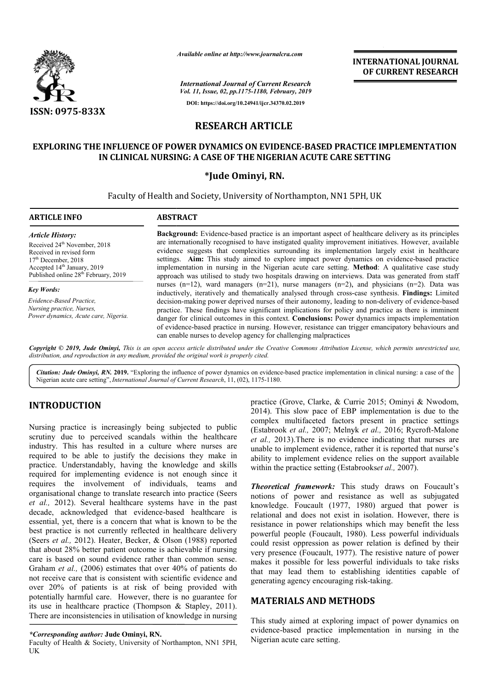

*Available online at http://www.journalcra.com*

# **RESEARCH ARTICLE**

### EXPLORING THE INFLUENCE OF POWER DYNAMICS ON EVIDENCE-BASED PRACTICE IMPLEMENTATION **IN CLINICAL NURSING: A CASE OF THE NIGERIAN ACUTE CARE SETTING**

### **\*Jude Ominyi, RN.**

|                                                                                                                                                                                                                                                                                                                                                                                                                                                                                                                                                                                                                                                                                                                                                                                                                                                                                                                                                                                                                                                                                                                                                                                                                                                                                                                          | атишные опине иг пир.//www.journaicra.com                                                                                                                                                                                                                                                                                                                                                                                                                                                                                                                                                                                                                                                                                                                                                                                                                                                                                                                                                                                                                                                                                                                                                                                                                                                                                      |                                                                                                      | <b>INTERNATIONAL JOURNAL</b><br>OF CURRENT RESEARCH                                                                                                                                                                                                                                                                                                                                                                                                                                                                                                                                                                                                                                                          |
|--------------------------------------------------------------------------------------------------------------------------------------------------------------------------------------------------------------------------------------------------------------------------------------------------------------------------------------------------------------------------------------------------------------------------------------------------------------------------------------------------------------------------------------------------------------------------------------------------------------------------------------------------------------------------------------------------------------------------------------------------------------------------------------------------------------------------------------------------------------------------------------------------------------------------------------------------------------------------------------------------------------------------------------------------------------------------------------------------------------------------------------------------------------------------------------------------------------------------------------------------------------------------------------------------------------------------|--------------------------------------------------------------------------------------------------------------------------------------------------------------------------------------------------------------------------------------------------------------------------------------------------------------------------------------------------------------------------------------------------------------------------------------------------------------------------------------------------------------------------------------------------------------------------------------------------------------------------------------------------------------------------------------------------------------------------------------------------------------------------------------------------------------------------------------------------------------------------------------------------------------------------------------------------------------------------------------------------------------------------------------------------------------------------------------------------------------------------------------------------------------------------------------------------------------------------------------------------------------------------------------------------------------------------------|------------------------------------------------------------------------------------------------------|--------------------------------------------------------------------------------------------------------------------------------------------------------------------------------------------------------------------------------------------------------------------------------------------------------------------------------------------------------------------------------------------------------------------------------------------------------------------------------------------------------------------------------------------------------------------------------------------------------------------------------------------------------------------------------------------------------------|
|                                                                                                                                                                                                                                                                                                                                                                                                                                                                                                                                                                                                                                                                                                                                                                                                                                                                                                                                                                                                                                                                                                                                                                                                                                                                                                                          |                                                                                                                                                                                                                                                                                                                                                                                                                                                                                                                                                                                                                                                                                                                                                                                                                                                                                                                                                                                                                                                                                                                                                                                                                                                                                                                                | <b>International Journal of Current Research</b><br>Vol. 11, Issue, 02, pp.1175-1180, February, 2019 |                                                                                                                                                                                                                                                                                                                                                                                                                                                                                                                                                                                                                                                                                                              |
| <b>ISSN: 0975-833X</b>                                                                                                                                                                                                                                                                                                                                                                                                                                                                                                                                                                                                                                                                                                                                                                                                                                                                                                                                                                                                                                                                                                                                                                                                                                                                                                   |                                                                                                                                                                                                                                                                                                                                                                                                                                                                                                                                                                                                                                                                                                                                                                                                                                                                                                                                                                                                                                                                                                                                                                                                                                                                                                                                | DOI: https://doi.org/10.24941/ijcr.34370.02.2019                                                     |                                                                                                                                                                                                                                                                                                                                                                                                                                                                                                                                                                                                                                                                                                              |
|                                                                                                                                                                                                                                                                                                                                                                                                                                                                                                                                                                                                                                                                                                                                                                                                                                                                                                                                                                                                                                                                                                                                                                                                                                                                                                                          | <b>RESEARCH ARTICLE</b>                                                                                                                                                                                                                                                                                                                                                                                                                                                                                                                                                                                                                                                                                                                                                                                                                                                                                                                                                                                                                                                                                                                                                                                                                                                                                                        |                                                                                                      |                                                                                                                                                                                                                                                                                                                                                                                                                                                                                                                                                                                                                                                                                                              |
|                                                                                                                                                                                                                                                                                                                                                                                                                                                                                                                                                                                                                                                                                                                                                                                                                                                                                                                                                                                                                                                                                                                                                                                                                                                                                                                          | IN CLINICAL NURSING: A CASE OF THE NIGERIAN ACUTE CARE SETTING                                                                                                                                                                                                                                                                                                                                                                                                                                                                                                                                                                                                                                                                                                                                                                                                                                                                                                                                                                                                                                                                                                                                                                                                                                                                 |                                                                                                      | EXPLORING THE INFLUENCE OF POWER DYNAMICS ON EVIDENCE-BASED PRACTICE IMPLEMENTATION                                                                                                                                                                                                                                                                                                                                                                                                                                                                                                                                                                                                                          |
|                                                                                                                                                                                                                                                                                                                                                                                                                                                                                                                                                                                                                                                                                                                                                                                                                                                                                                                                                                                                                                                                                                                                                                                                                                                                                                                          |                                                                                                                                                                                                                                                                                                                                                                                                                                                                                                                                                                                                                                                                                                                                                                                                                                                                                                                                                                                                                                                                                                                                                                                                                                                                                                                                | *Jude Ominyi, RN.                                                                                    |                                                                                                                                                                                                                                                                                                                                                                                                                                                                                                                                                                                                                                                                                                              |
|                                                                                                                                                                                                                                                                                                                                                                                                                                                                                                                                                                                                                                                                                                                                                                                                                                                                                                                                                                                                                                                                                                                                                                                                                                                                                                                          | Faculty of Health and Society, University of Northampton, NN1 5PH, UK                                                                                                                                                                                                                                                                                                                                                                                                                                                                                                                                                                                                                                                                                                                                                                                                                                                                                                                                                                                                                                                                                                                                                                                                                                                          |                                                                                                      |                                                                                                                                                                                                                                                                                                                                                                                                                                                                                                                                                                                                                                                                                                              |
| <b>ARTICLE INFO</b>                                                                                                                                                                                                                                                                                                                                                                                                                                                                                                                                                                                                                                                                                                                                                                                                                                                                                                                                                                                                                                                                                                                                                                                                                                                                                                      | <b>ABSTRACT</b>                                                                                                                                                                                                                                                                                                                                                                                                                                                                                                                                                                                                                                                                                                                                                                                                                                                                                                                                                                                                                                                                                                                                                                                                                                                                                                                |                                                                                                      |                                                                                                                                                                                                                                                                                                                                                                                                                                                                                                                                                                                                                                                                                                              |
| <b>Article History:</b><br>Received 24 <sup>th</sup> November, 2018<br>Received in revised form<br>$17th$ December, 2018<br>Accepted 14 <sup>th</sup> January, 2019<br>Published online 28 <sup>th</sup> February, 2019                                                                                                                                                                                                                                                                                                                                                                                                                                                                                                                                                                                                                                                                                                                                                                                                                                                                                                                                                                                                                                                                                                  | Background: Evidence-based practice is an important aspect of healthcare delivery as its principles<br>are internationally recognised to have instigated quality improvement initiatives. However, available<br>evidence suggests that complexities surrounding its implementation largely exist in healthcare<br>settings. Aim: This study aimed to explore impact power dynamics on evidence-based practice<br>implementation in nursing in the Nigerian acute care setting. Method: A qualitative case study<br>approach was utilised to study two hospitals drawing on interviews. Data was generated from staff<br>nurses $(n=12)$ , ward managers $(n=21)$ , nurse managers $(n=2)$ , and physicians $(n=2)$ . Data was<br>inductively, iteratively and thematically analysed through cross-case synthesis. Findings: Limited<br>decision-making power deprived nurses of their autonomy, leading to non-delivery of evidence-based<br>practice. These findings have significant implications for policy and practice as there is imminent<br>danger for clinical outcomes in this context. Conclusions: Power dynamics impacts implementation<br>of evidence-based practice in nursing. However, resistance can trigger emancipatory behaviours and<br>can enable nurses to develop agency for challenging malpractices |                                                                                                      |                                                                                                                                                                                                                                                                                                                                                                                                                                                                                                                                                                                                                                                                                                              |
| <b>Key Words:</b><br>Evidence-Based Practice,<br>Nursing practice, Nurses,<br>Power dynamics, Acute care, Nigeria.                                                                                                                                                                                                                                                                                                                                                                                                                                                                                                                                                                                                                                                                                                                                                                                                                                                                                                                                                                                                                                                                                                                                                                                                       |                                                                                                                                                                                                                                                                                                                                                                                                                                                                                                                                                                                                                                                                                                                                                                                                                                                                                                                                                                                                                                                                                                                                                                                                                                                                                                                                |                                                                                                      |                                                                                                                                                                                                                                                                                                                                                                                                                                                                                                                                                                                                                                                                                                              |
| distribution, and reproduction in any medium, provided the original work is properly cited.<br>Nigerian acute care setting", International Journal of Current Research, 11, (02), 1175-1180.                                                                                                                                                                                                                                                                                                                                                                                                                                                                                                                                                                                                                                                                                                                                                                                                                                                                                                                                                                                                                                                                                                                             |                                                                                                                                                                                                                                                                                                                                                                                                                                                                                                                                                                                                                                                                                                                                                                                                                                                                                                                                                                                                                                                                                                                                                                                                                                                                                                                                |                                                                                                      | Copyright © 2019, Jude Ominyi, This is an open access article distributed under the Creative Commons Attribution License, which permits unrestricted use,<br>Citation: Jude Ominyi, RN. 2019. "Exploring the influence of power dynamics on evidence-based practice implementation in clinical nursing: a case of the                                                                                                                                                                                                                                                                                                                                                                                        |
| <b>INTRODUCTION</b><br>Nursing practice is increasingly being subjected to public<br>scrutiny due to perceived scandals within the healthcare<br>industry. This has resulted in a culture where nurses are<br>required to be able to justify the decisions they make in<br>practice. Understandably, having the knowledge and skills<br>required for implementing evidence is not enough since it<br>requires the involvement of individuals, teams<br>and<br>organisational change to translate research into practice (Seers<br>et al., 2012). Several healthcare systems have in the past<br>decade, acknowledged that evidence-based healthcare is<br>essential, yet, there is a concern that what is known to be the<br>best practice is not currently reflected in healthcare delivery<br>(Seers et al., 2012). Heater, Becker, & Olson (1988) reported<br>that about 28% better patient outcome is achievable if nursing<br>care is based on sound evidence rather than common sense.<br>Graham et al., (2006) estimates that over 40% of patients do<br>not receive care that is consistent with scientific evidence and<br>over 20% of patients is at risk of being provided with<br>potentially harmful care. However, there is no guarantee for<br>its use in healthcare practice (Thompson & Stapley, 2011). |                                                                                                                                                                                                                                                                                                                                                                                                                                                                                                                                                                                                                                                                                                                                                                                                                                                                                                                                                                                                                                                                                                                                                                                                                                                                                                                                | within the practice setting (Estabrookset al., 2007).                                                | practice (Grove, Clarke, & Currie 2015; Ominyi & Nwodom,<br>2014). This slow pace of EBP implementation is due to the<br>complex multifaceted factors present in practice settings<br>(Estabrook et al., 2007; Melnyk et al., 2016; Rycroft-Malone<br>et al., 2013). There is no evidence indicating that nurses are<br>unable to implement evidence, rather it is reported that nurse's<br>ability to implement evidence relies on the support available<br><b>Theoretical framework:</b> This study draws on Foucault's<br>notions of power and resistance as well as subjugated<br>knowledge. Foucault (1977, 1980) argued that power is<br>relational and does not exist in isolation. However, there is |
|                                                                                                                                                                                                                                                                                                                                                                                                                                                                                                                                                                                                                                                                                                                                                                                                                                                                                                                                                                                                                                                                                                                                                                                                                                                                                                                          |                                                                                                                                                                                                                                                                                                                                                                                                                                                                                                                                                                                                                                                                                                                                                                                                                                                                                                                                                                                                                                                                                                                                                                                                                                                                                                                                | generating agency encouraging risk-taking.<br><b>MATERIALS AND METHODS</b>                           | resistance in power relationships which may benefit the less<br>powerful people (Foucault, 1980). Less powerful individuals<br>could resist oppression as power relation is defined by their<br>very presence (Foucault, 1977). The resistive nature of power<br>makes it possible for less powerful individuals to take risks<br>that may lead them to establishing identities capable of                                                                                                                                                                                                                                                                                                                   |
| There are inconsistencies in utilisation of knowledge in nursing<br>$*Caus canending$ author. Inde Ominui DN                                                                                                                                                                                                                                                                                                                                                                                                                                                                                                                                                                                                                                                                                                                                                                                                                                                                                                                                                                                                                                                                                                                                                                                                             |                                                                                                                                                                                                                                                                                                                                                                                                                                                                                                                                                                                                                                                                                                                                                                                                                                                                                                                                                                                                                                                                                                                                                                                                                                                                                                                                |                                                                                                      | This study aimed at exploring impact of power dynamics on<br>evidence-based practice implementation in nursing in the                                                                                                                                                                                                                                                                                                                                                                                                                                                                                                                                                                                        |

# **INTRODUCTION**

Faculty of Health & Society, University of Northampton, NN1 5PH, UK

## **MATERIALS AND METHODS METHODS**

This study aimed at exploring impact of power dynamics on evidence-based practice implementation in nursing in the Nigerian acute care setting.

*<sup>\*</sup>Corresponding author:* **Jude Ominyi, RN.**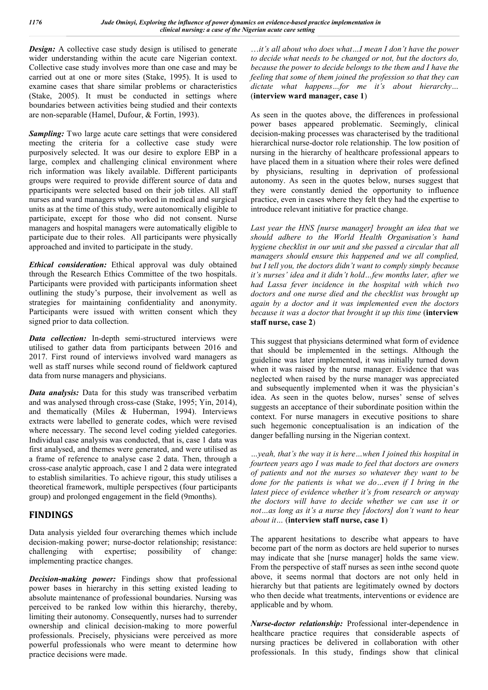*Design:* A collective case study design is utilised to generate wider understanding within the acute care Nigerian context. Collective case study involves more than one case and may be carried out at one or more sites (Stake, 1995). It is used to examine cases that share similar problems or characteristics (Stake, 2005). It must be conducted in settings where boundaries between activities being studied and their contexts are non-separable (Hamel, Dufour, & Fortin, 1993).

*Sampling:* Two large acute care settings that were considered meeting the criteria for a collective case study were purposively selected. It was our desire to explore EBP in a large, complex and challenging clinical environment where rich information was likely available. Different participants groups were required to provide different source of data and pparticipants were selected based on their job titles. All staff nurses and ward managers who worked in medical and surgical units as at the time of this study, were autonomically eligible to participate, except for those who did not consent. Nurse managers and hospital managers were automatically eligible to participate due to their roles. All participants were physically approached and invited to participate in the study.

*Ethical consideration:* Ethical approval was duly obtained through the Research Ethics Committee of the two hospitals. Participants were provided with participants information sheet outlining the study's purpose, their involvement as well as strategies for maintaining confidentiality and anonymity. Participants were issued with written consent which they signed prior to data collection.

*Data collection:* In-depth semi-structured interviews were utilised to gather data from participants between 2016 and 2017. First round of interviews involved ward managers as well as staff nurses while second round of fieldwork captured data from nurse managers and physicians.

*Data analysis:* Data for this study was transcribed verbatim and was analysed through cross-case (Stake, 1995; Yin, 2014), and thematically (Miles & Huberman, 1994). Interviews extracts were labelled to generate codes, which were revised where necessary. The second level coding yielded categories. Individual case analysis was conducted, that is, case 1 data was first analysed, and themes were generated, and were utilised as a frame of reference to analyse case 2 data. Then, through a cross-case analytic approach, case 1 and 2 data were integrated to establish similarities. To achieve rigour, this study utilises a theoretical framework, multiple perspectives (four participants group) and prolonged engagement in the field (9months).

## **FINDINGS**

Data analysis yielded four overarching themes which include decision-making power; nurse-doctor relationship; resistance: challenging with expertise; possibility of change: implementing practice changes.

*Decision-making power:* Findings show that professional power bases in hierarchy in this setting existed leading to absolute maintenance of professional boundaries. Nursing was perceived to be ranked low within this hierarchy, thereby, limiting their autonomy. Consequently, nurses had to surrender ownership and clinical decision-making to more powerful professionals. Precisely, physicians were perceived as more powerful professionals who were meant to determine how practice decisions were made.

…*it's all about who does what…I mean I don't have the power to decide what needs to be changed or not, but the doctors do, because the power to decide belongs to the them and I have the feeling that some of them joined the profession so that they can dictate what happens…for me it's about hierarchy…* (**interview ward manager, case 1**)

As seen in the quotes above, the differences in professional power bases appeared problematic. Seemingly, clinical decision-making processes was characterised by the traditional hierarchical nurse-doctor role relationship. The low position of nursing in the hierarchy of healthcare professional appears to have placed them in a situation where their roles were defined by physicians, resulting in deprivation of professional autonomy. As seen in the quotes below, nurses suggest that they were constantly denied the opportunity to influence practice, even in cases where they felt they had the expertise to introduce relevant initiative for practice change.

*Last year the HNS [nurse manager] brought an idea that we should adhere to the World Health Organisation's hand hygiene checklist in our unit and she passed a circular that all managers should ensure this happened and we all complied, but I tell you, the doctors didn't want to comply simply because it's nurses' idea and it didn't hold…few months later, after we had Lassa fever incidence in the hospital with which two doctors and one nurse died and the checklist was brought up again by a doctor and it was implemented even the doctors because it was a doctor that brought it up this time* (**interview staff nurse, case 2**)

This suggest that physicians determined what form of evidence that should be implemented in the settings. Although the guideline was later implemented, it was initially turned down when it was raised by the nurse manager. Evidence that was neglected when raised by the nurse manager was appreciated and subsequently implemented when it was the physician's idea. As seen in the quotes below, nurses' sense of selves suggests an acceptance of their subordinate position within the context. For nurse managers in executive positions to share such hegemonic conceptualisation is an indication of the danger befalling nursing in the Nigerian context.

*…yeah, that's the way it is here…when I joined this hospital in fourteen years ago I was made to feel that doctors are owners of patients and not the nurses so whatever they want to be done for the patients is what we do…even if I bring in the latest piece of evidence whether it's from research or anyway the doctors will have to decide whether we can use it or not…as long as it's a nurse they [doctors] don't want to hear about it…* (**interview staff nurse, case 1**)

The apparent hesitations to describe what appears to have become part of the norm as doctors are held superior to nurses may indicate that she [nurse manager] holds the same view. From the perspective of staff nurses as seen inthe second quote above, it seems normal that doctors are not only held in hierarchy but that patients are legitimately owned by doctors who then decide what treatments, interventions or evidence are applicable and by whom.

*Nurse-doctor relationship:* Professional inter-dependence in healthcare practice requires that considerable aspects of nursing practices be delivered in collaboration with other professionals. In this study, findings show that clinical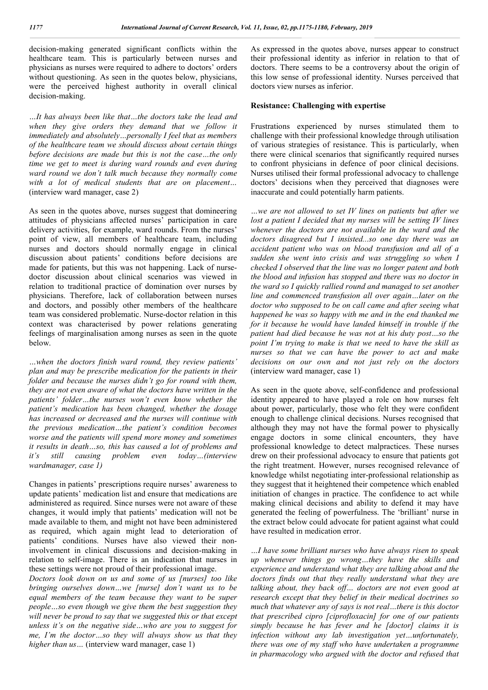decision-making generated significant conflicts within the healthcare team. This is particularly between nurses and physicians as nurses were required to adhere to doctors' orders without questioning. As seen in the quotes below, physicians, were the perceived highest authority in overall clinical decision-making.

*…It has always been like that…the doctors take the lead and when they give orders they demand that we follow it immediately and absolutely…personally I feel that as members of the healthcare team we should discuss about certain things before decisions are made but this is not the case…the only time we get to meet is during ward rounds and even during ward round we don't talk much because they normally come with a lot of medical students that are on placement…* (interview ward manager, case 2)

As seen in the quotes above, nurses suggest that domineering attitudes of physicians affected nurses' participation in care delivery activities, for example, ward rounds. From the nurses' point of view, all members of healthcare team, including nurses and doctors should normally engage in clinical discussion about patients' conditions before decisions are made for patients, but this was not happening. Lack of nursedoctor discussion about clinical scenarios was viewed in relation to traditional practice of domination over nurses by physicians. Therefore, lack of collaboration between nurses and doctors, and possibly other members of the healthcare team was considered problematic. Nurse-doctor relation in this context was characterised by power relations generating feelings of marginalisation among nurses as seen in the quote below.

*…when the doctors finish ward round, they review patients' plan and may be prescribe medication for the patients in their folder and because the nurses didn't go for round with them, they are not even aware of what the doctors have written in the patients' folder…the nurses won't even know whether the patient's medication has been changed, whether the dosage has increased or decreased and the nurses will continue with the previous medication…the patient's condition becomes worse and the patients will spend more money and sometimes it results in death…so, this has caused a lot of problems and it's still causing problem even today…(interview wardmanager, case 1)*

Changes in patients' prescriptions require nurses' awareness to update patients' medication list and ensure that medications are administered as required. Since nurses were not aware of these changes, it would imply that patients' medication will not be made available to them, and might not have been administered as required, which again might lead to deterioration of patients' conditions. Nurses have also viewed their noninvolvement in clinical discussions and decision-making in relation to self-image. There is an indication that nurses in these settings were not proud of their professional image.

*Doctors look down on us and some of us [nurses] too like bringing ourselves down…we [nurse] don't want us to be equal members of the team because they want to be super people…so even though we give them the best suggestion they will never be proud to say that we suggested this or that except unless it's on the negative side…who are you to suggest for me, I'm the doctor…so they will always show us that they higher than us...* (interview ward manager, case 1)

As expressed in the quotes above, nurses appear to construct their professional identity as inferior in relation to that of doctors. There seems to be a controversy about the origin of this low sense of professional identity. Nurses perceived that doctors view nurses as inferior.

#### **Resistance: Challenging with expertise**

Frustrations experienced by nurses stimulated them to challenge with their professional knowledge through utilisation of various strategies of resistance. This is particularly, when there were clinical scenarios that significantly required nurses to confront physicians in defence of poor clinical decisions. Nurses utilised their formal professional advocacy to challenge doctors' decisions when they perceived that diagnoses were inaccurate and could potentially harm patients.

*…we are not allowed to set IV lines on patients but after we lost a patient I decided that my nurses will be setting IV lines whenever the doctors are not available in the ward and the doctors disagreed but I insisted...so one day there was an accident patient who was on blood transfusion and all of a sudden she went into crisis and was struggling so when I checked I observed that the line was no longer patent and both the blood and infusion has stopped and there was no doctor in the ward so I quickly rallied round and managed to set another line and commenced transfusion all over again…later on the doctor who supposed to be on call came and after seeing what happened he was so happy with me and in the end thanked me for it because he would have landed himself in trouble if the patient had died because he was not at his duty post…so the point I'm trying to make is that we need to have the skill as nurses so that we can have the power to act and make decisions on our own and not just rely on the doctors*  (interview ward manager, case 1)

As seen in the quote above, self-confidence and professional identity appeared to have played a role on how nurses felt about power, particularly, those who felt they were confident enough to challenge clinical decisions. Nurses recognised that although they may not have the formal power to physically engage doctors in some clinical encounters, they have professional knowledge to detect malpractices. These nurses drew on their professional advocacy to ensure that patients got the right treatment. However, nurses recognised relevance of knowledge whilst negotiating inter-professional relationship as they suggest that it heightened their competence which enabled initiation of changes in practice. The confidence to act while making clinical decisions and ability to defend it may have generated the feeling of powerfulness. The 'brilliant' nurse in the extract below could advocate for patient against what could have resulted in medication error.

*…I have some brilliant nurses who have always risen to speak up whenever things go wrong…they have the skills and experience and understand what they are talking about and the doctors finds out that they really understand what they are talking about, they back off… doctors are not even good at research except that they belief in their medical doctrines so much that whatever any of says is not real…there is this doctor that prescribed cipro [ciprofloxacin] for one of our patients simply because he has fever and he [doctor] claims it is infection without any lab investigation yet…unfortunately, there was one of my staff who have undertaken a programme in pharmacology who argued with the doctor and refused that*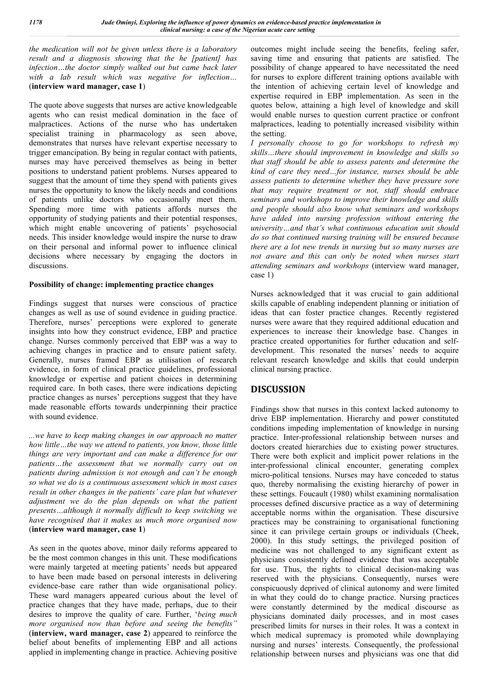*the medication will not be given unless there is a laboratory result and a diagnosis showing that the he [patient] has infection…the doctor simply walked out but came back later with a lab result which was negative for inflection…*  (**interview ward manager, case 1**)

The quote above suggests that nurses are active knowledgeable agents who can resist medical domination in the face of malpractices. Actions of the nurse who has undertaken specialist training in pharmacology as seen above, demonstrates that nurses have relevant expertise necessary to trigger emancipation. By being in regular contact with patients, nurses may have perceived themselves as being in better positions to understand patient problems. Nurses appeared to suggest that the amount of time they spend with patients gives nurses the opportunity to know the likely needs and conditions of patients unlike doctors who occasionally meet them. Spending more time with patients affords nurses the opportunity of studying patients and their potential responses, which might enable uncovering of patients' psychosocial needs. This insider knowledge would inspire the nurse to draw on their personal and informal power to influence clinical decisions where necessary by engaging the doctors in discussions.

### **Possibility of change: implementing practice changes**

Findings suggest that nurses were conscious of practice changes as well as use of sound evidence in guiding practice. Therefore, nurses' perceptions were explored to generate insights into how they construct evidence, EBP and practice change. Nurses commonly perceived that EBP was a way to achieving changes in practice and to ensure patient safety. Generally, nurses framed EBP as utilisation of research evidence, in form of clinical practice guidelines, professional knowledge or expertise and patient choices in determining required care. In both cases, there were indications depicting practice changes as nurses' perceptions suggest that they have made reasonable efforts towards underpinning their practice with sound evidence.

*...we have to keep making changes in our approach no matter how little…the way we attend to patients, you know, those little things are very important and can make a difference for our patients…the assessment that we normally carry out on patients during admission is not enough and can't be enough so what we do is a continuous assessment which in most cases result in other changes in the patients' care plan but whatever adjustment we do the plan depends on what the patient presents…although it normally difficult to keep switching we have recognised that it makes us much more organised now* (**interview ward manager, case 1**)

As seen in the quotes above, minor daily reforms appeared to be the most common changes in this unit. These modifications were mainly targeted at meeting patients' needs but appeared to have been made based on personal interests in delivering evidence-base care rather than wide organisational policy. These ward managers appeared curious about the level of practice changes that they have made, perhaps, due to their desires to improve the quality of care. Further, '*being much more organised now than before and seeing the benefits"* (**interview, ward manager, case 2**) appeared to reinforce the belief about benefits of implementing EBP and all actions applied in implementing change in practice. Achieving positive outcomes might include seeing the benefits, feeling safer, saving time and ensuring that patients are satisfied. The possibility of change appeared to have necessitated the need for nurses to explore different training options available with the intention of achieving certain level of knowledge and expertise required in EBP implementation. As seen in the quotes below, attaining a high level of knowledge and skill would enable nurses to question current practice or confront malpractices, leading to potentially increased visibility within the setting.

*I personally choose to go for workshops to refresh my skills…there should improvement in knowledge and skills so that staff should be able to assess patents and determine the kind of care they need…for instance, nurses should be able assess patients to determine whether they have pressure sore that may require treatment or not, staff should embrace seminars and workshops to improve their knowledge and skills and people should also know what seminars and workshops have added into nursing profession without entering the university…and that's what continuous education unit should do so that continued nursing training will be ensured because there are a lot new trends in nursing but so many nurses are not aware and this can only be noted when nurses start attending seminars and workshops* (interview ward manager, case 1)

Nurses acknowledged that it was crucial to gain additional skills capable of enabling independent planning or initiation of ideas that can foster practice changes. Recently registered nurses were aware that they required additional education and experiences to increase their knowledge base. Changes in practice created opportunities for further education and selfdevelopment. This resonated the nurses' needs to acquire relevant research knowledge and skills that could underpin clinical nursing practice.

## **DISCUSSION**

Findings show that nurses in this context lacked autonomy to drive EBP implementation. Hierarchy and power constituted conditions impeding implementation of knowledge in nursing practice. Inter-professional relationship between nurses and doctors created hierarchies due to existing power structures. There were both explicit and implicit power relations in the inter-professional clinical encounter, generating complex micro-political tensions. Nurses may have conceded to status quo, thereby normalising the existing hierarchy of power in these settings. Foucault (1980) whilst examining normalisation processes defined discursive practice as a way of determining acceptable norms within the organisation. These discursive practices may be constraining to organisational functioning since it can privilege certain groups or individuals (Cheek, 2000). In this study settings, the privileged position of medicine was not challenged to any significant extent as physicians consistently defined evidence that was acceptable for use. Thus, the rights to clinical decision-making was reserved with the physicians. Consequently, nurses were conspicuously deprived of clinical autonomy and were limited in what they could do to change practice. Nursing practices were constantly determined by the medical discourse as physicians dominated daily processes, and in most cases prescribed limits for nurses in their roles. It was a context in which medical supremacy is promoted while downplaying nursing and nurses' interests. Consequently, the professional relationship between nurses and physicians was one that did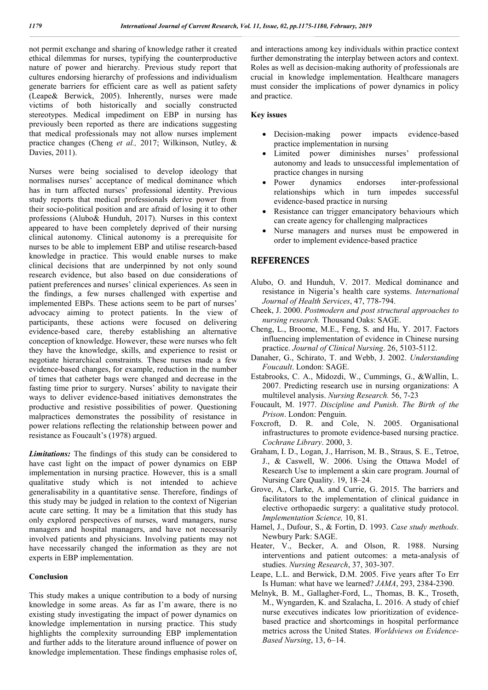not permit exchange and sharing of knowledge rather it created ethical dilemmas for nurses, typifying the counterproductive nature of power and hierarchy. Previous study report that cultures endorsing hierarchy of professions and individualism generate barriers for efficient care as well as patient safety (Leape& Berwick, 2005). Inherently, nurses were made victims of both historically and socially constructed stereotypes. Medical impediment on EBP in nursing has previously been reported as there are indications suggesting that medical professionals may not allow nurses implement practice changes (Cheng *et al.,* 2017; Wilkinson, Nutley, & Davies, 2011).

Nurses were being socialised to develop ideology that normalises nurses' acceptance of medical dominance which has in turn affected nurses' professional identity. Previous study reports that medical professionals derive power from their socio-political position and are afraid of losing it to other professions (Alubo& Hunduh, 2017). Nurses in this context appeared to have been completely deprived of their nursing clinical autonomy. Clinical autonomy is a prerequisite for nurses to be able to implement EBP and utilise research-based knowledge in practice. This would enable nurses to make clinical decisions that are underpinned by not only sound research evidence, but also based on due considerations of patient preferences and nurses' clinical experiences. As seen in the findings, a few nurses challenged with expertise and implemented EBPs. These actions seem to be part of nurses' advocacy aiming to protect patients. In the view of participants, these actions were focused on delivering evidence-based care, thereby establishing an alternative conception of knowledge. However, these were nurses who felt they have the knowledge, skills, and experience to resist or negotiate hierarchical constraints. These nurses made a few evidence-based changes, for example, reduction in the number of times that catheter bags were changed and decrease in the fasting time prior to surgery. Nurses' ability to navigate their ways to deliver evidence-based initiatives demonstrates the productive and resistive possibilities of power. Questioning malpractices demonstrates the possibility of resistance in power relations reflecting the relationship between power and resistance as Foucault's (1978) argued.

*Limitations:* The findings of this study can be considered to have cast light on the impact of power dynamics on EBP implementation in nursing practice. However, this is a small qualitative study which is not intended to achieve generalisability in a quantitative sense. Therefore, findings of this study may be judged in relation to the context of Nigerian acute care setting. It may be a limitation that this study has only explored perspectives of nurses, ward managers, nurse managers and hospital managers, and have not necessarily involved patients and physicians. Involving patients may not have necessarily changed the information as they are not experts in EBP implementation.

#### **Conclusion**

This study makes a unique contribution to a body of nursing knowledge in some areas. As far as I'm aware, there is no existing study investigating the impact of power dynamics on knowledge implementation in nursing practice. This study highlights the complexity surrounding EBP implementation and further adds to the literature around influence of power on knowledge implementation. These findings emphasise roles of,

and interactions among key individuals within practice context further demonstrating the interplay between actors and context. Roles as well as decision-making authority of professionals are crucial in knowledge implementation. Healthcare managers must consider the implications of power dynamics in policy and practice.

#### **Key issues**

- Decision-making power impacts evidence-based practice implementation in nursing
- Limited power diminishes nurses' professional autonomy and leads to unsuccessful implementation of practice changes in nursing
- Power dynamics endorses inter-professional relationships which in turn impedes successful evidence-based practice in nursing
- Resistance can trigger emancipatory behaviours which can create agency for challenging malpractices
- Nurse managers and nurses must be empowered in order to implement evidence-based practice

### **REFERENCES**

- Alubo, O. and Hunduh, V. 2017. Medical dominance and resistance in Nigeria's health care systems. *International Journal of Health Services*, 47, 778-794.
- Cheek, J. 2000. *Postmodern and post structural approaches to nursing research.* Thousand Oaks: SAGE.
- Cheng, L., Broome, M.E., Feng, S. and Hu, Y. 2017. Factors influencing implementation of evidence in Chinese nursing practice. *Journal of Clinical Nursing*. 26, 5103-5112.
- Danaher, G., Schirato, T. and Webb, J. 2002. *Understanding Foucault*. London: SAGE.
- Estabrooks, C. A., Midozdi, W., Cummings, G., &Wallin, L. 2007. Predicting research use in nursing organizations: A multilevel analysis. *Nursing Research.* 56, 7-23
- Foucault, M. 1977. *Discipline and Punish*. *The Birth of the Prison*. London: Penguin.
- Foxcroft, D. R. and Cole, N. 2005. Organisational infrastructures to promote evidence-based nursing practice. *Cochrane Library*. 2000, 3.
- Graham, I. D., Logan, J., Harrison, M. B., Straus, S. E., Tetroe, J., & Caswell, W. 2006. Using the Ottawa Model of Research Use to implement a skin care program. Journal of Nursing Care Quality. 19, 18–24.
- Grove, A., Clarke, A. and Currie, G. 2015. The barriers and facilitators to the implementation of clinical guidance in elective orthopaedic surgery: a qualitative study protocol. *Implementation Science,* 10, 81.
- Hamel, J., Dufour, S., & Fortin, D. 1993. *Case study methods*. Newbury Park: SAGE.
- Heater, V., Becker, A. and Olson, R. 1988. Nursing interventions and patient outcomes: a meta-analysis of studies. *Nursing Research*, 37, 303-307.
- Leape, L.L. and Berwick, D.M. 2005. Five years after To Err Is Human: what have we learned? *JAMA*, 293, 2384-2390.
- Melnyk, B. M., Gallagher-Ford, L., Thomas, B. K., Troseth, M., Wyngarden, K. and Szalacha, L. 2016. A study of chief nurse executives indicates low prioritization of evidencebased practice and shortcomings in hospital performance metrics across the United States. *Worldviews on Evidence-Based Nursing*, 13, 6–14.